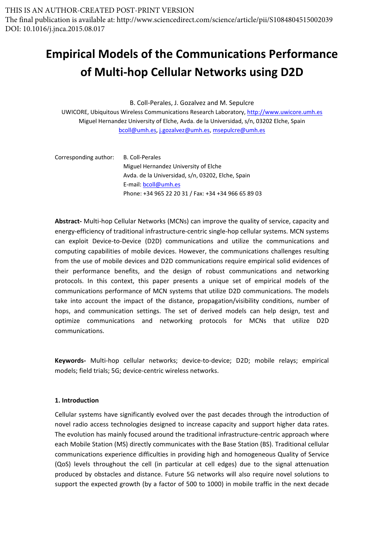# **Empirical Models of the Communications Performance of Multi‐hop Cellular Networks using D2D**

B. Coll‐Perales, J. Gozalvez and M. Sepulcre

UWICORE, Ubiquitous Wireless Communications Research Laboratory, http://www.uwicore.umh.es Miguel Hernandez University of Elche, Avda. de la Universidad, s/n, 03202 Elche, Spain bcoll@umh.es, j.gozalvez@umh.es, msepulcre@umh.es

| Corresponding author: | B. Coll-Perales                                     |  |  |
|-----------------------|-----------------------------------------------------|--|--|
|                       | Miguel Hernandez University of Elche                |  |  |
|                       | Avda. de la Universidad, s/n, 03202, Elche, Spain   |  |  |
|                       | E-mail: bcoll@umh.es                                |  |  |
|                       | Phone: +34 965 22 20 31 / Fax: +34 +34 966 65 89 03 |  |  |
|                       |                                                     |  |  |

**Abstract‐** Multi‐hop Cellular Networks (MCNs) can improve the quality of service, capacity and energy‐efficiency of traditional infrastructure‐centric single‐hop cellular systems. MCN systems can exploit Device‐to‐Device (D2D) communications and utilize the communications and computing capabilities of mobile devices. However, the communications challenges resulting from the use of mobile devices and D2D communications require empirical solid evidences of their performance benefits, and the design of robust communications and networking protocols. In this context, this paper presents a unique set of empirical models of the communications performance of MCN systems that utilize D2D communications. The models take into account the impact of the distance, propagation/visibility conditions, number of hops, and communication settings. The set of derived models can help design, test and optimize communications and networking protocols for MCNs that utilize D2D communications.

**Keywords‐**  Multi‐hop cellular networks; device‐to‐device; D2D; mobile relays; empirical models; field trials; 5G; device‐centric wireless networks.

# **1. Introduction**

Cellular systems have significantly evolved over the past decades through the introduction of novel radio access technologies designed to increase capacity and support higher data rates. The evolution has mainly focused around the traditional infrastructure‐centric approach where each Mobile Station (MS) directly communicates with the Base Station (BS). Traditional cellular communications experience difficulties in providing high and homogeneous Quality of Service (QoS) levels throughout the cell (in particular at cell edges) due to the signal attenuation produced by obstacles and distance. Future 5G networks will also require novel solutions to support the expected growth (by a factor of 500 to 1000) in mobile traffic in the next decade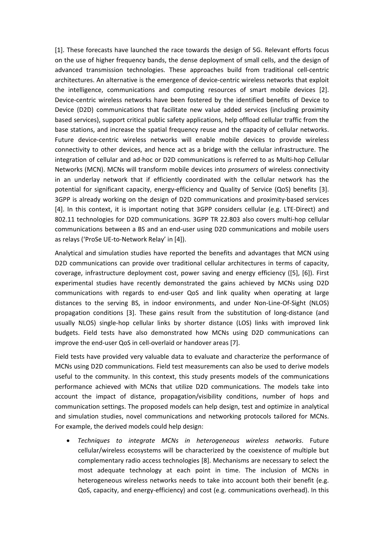[1]. These forecasts have launched the race towards the design of 5G. Relevant efforts focus on the use of higher frequency bands, the dense deployment of small cells, and the design of advanced transmission technologies. These approaches build from traditional cell‐centric architectures. An alternative is the emergence of device‐centric wireless networks that exploit the intelligence, communications and computing resources of smart mobile devices [2]. Device‐centric wireless networks have been fostered by the identified benefits of Device to Device (D2D) communications that facilitate new value added services (including proximity based services), support critical public safety applications, help offload cellular traffic from the base stations, and increase the spatial frequency reuse and the capacity of cellular networks. Future device‐centric wireless networks will enable mobile devices to provide wireless connectivity to other devices, and hence act as a bridge with the cellular infrastructure. The integration of cellular and ad‐hoc or D2D communications is referred to as Multi‐hop Cellular Networks (MCN). MCNs will transform mobile devices into *prosumers* of wireless connectivity in an underlay network that if efficiently coordinated with the cellular network has the potential for significant capacity, energy-efficiency and Quality of Service (QoS) benefits [3]. 3GPP is already working on the design of D2D communications and proximity‐based services [4]. In this context, it is important noting that 3GPP considers cellular (e.g. LTE-Direct) and 802.11 technologies for D2D communications. 3GPP TR 22.803 also covers multi‐hop cellular communications between a BS and an end‐user using D2D communications and mobile users as relays ('ProSe UE‐to‐Network Relay' in [4]).

Analytical and simulation studies have reported the benefits and advantages that MCN using D2D communications can provide over traditional cellular architectures in terms of capacity, coverage, infrastructure deployment cost, power saving and energy efficiency ([5], [6]). First experimental studies have recently demonstrated the gains achieved by MCNs using D2D communications with regards to end-user QoS and link quality when operating at large distances to the serving BS, in indoor environments, and under Non‐Line‐Of‐Sight (NLOS) propagation conditions [3]. These gains result from the substitution of long-distance (and usually NLOS) single‐hop cellular links by shorter distance (LOS) links with improved link budgets. Field tests have also demonstrated how MCNs using D2D communications can improve the end-user QoS in cell-overlaid or handover areas [7].

Field tests have provided very valuable data to evaluate and characterize the performance of MCNs using D2D communications. Field test measurements can also be used to derive models useful to the community. In this context, this study presents models of the communications performance achieved with MCNs that utilize D2D communications. The models take into account the impact of distance, propagation/visibility conditions, number of hops and communication settings. The proposed models can help design, test and optimize in analytical and simulation studies, novel communications and networking protocols tailored for MCNs. For example, the derived models could help design:

 *Techniques to integrate MCNs in heterogeneous wireless networks*. Future cellular/wireless ecosystems will be characterized by the coexistence of multiple but complementary radio access technologies [8]. Mechanisms are necessary to select the most adequate technology at each point in time. The inclusion of MCNs in heterogeneous wireless networks needs to take into account both their benefit (e.g. QoS, capacity, and energy‐efficiency) and cost (e.g. communications overhead). In this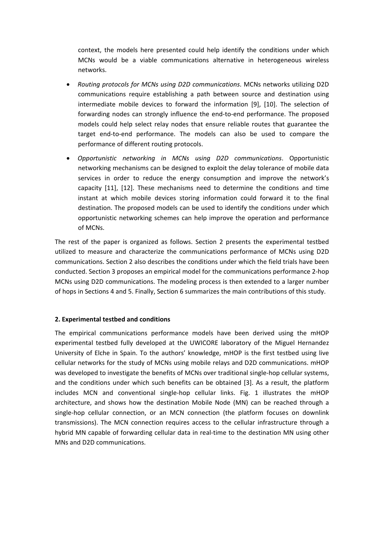context, the models here presented could help identify the conditions under which MCNs would be a viable communications alternative in heterogeneous wireless networks.

- *Routing protocols for MCNs using D2D communications*. MCNs networks utilizing D2D communications require establishing a path between source and destination using intermediate mobile devices to forward the information [9], [10]. The selection of forwarding nodes can strongly influence the end-to-end performance. The proposed models could help select relay nodes that ensure reliable routes that guarantee the target end‐to‐end performance. The models can also be used to compare the performance of different routing protocols.
- *Opportunistic networking in MCNs using D2D communications*. Opportunistic networking mechanisms can be designed to exploit the delay tolerance of mobile data services in order to reduce the energy consumption and improve the network's capacity [11], [12]. These mechanisms need to determine the conditions and time instant at which mobile devices storing information could forward it to the final destination. The proposed models can be used to identify the conditions under which opportunistic networking schemes can help improve the operation and performance of MCNs.

The rest of the paper is organized as follows. Section 2 presents the experimental testbed utilized to measure and characterize the communications performance of MCNs using D2D communications. Section 2 also describes the conditions under which the field trials have been conducted. Section 3 proposes an empirical model for the communications performance 2‐hop MCNs using D2D communications. The modeling process is then extended to a larger number of hops in Sections 4 and 5. Finally, Section 6 summarizes the main contributions of this study.

# **2. Experimental testbed and conditions**

The empirical communications performance models have been derived using the mHOP experimental testbed fully developed at the UWICORE laboratory of the Miguel Hernandez University of Elche in Spain. To the authors' knowledge, mHOP is the first testbed using live cellular networks for the study of MCNs using mobile relays and D2D communications. mHOP was developed to investigate the benefits of MCNs over traditional single-hop cellular systems, and the conditions under which such benefits can be obtained [3]. As a result, the platform includes MCN and conventional single‐hop cellular links. Fig. 1 illustrates the mHOP architecture, and shows how the destination Mobile Node (MN) can be reached through a single-hop cellular connection, or an MCN connection (the platform focuses on downlink transmissions). The MCN connection requires access to the cellular infrastructure through a hybrid MN capable of forwarding cellular data in real‐time to the destination MN using other MNs and D2D communications.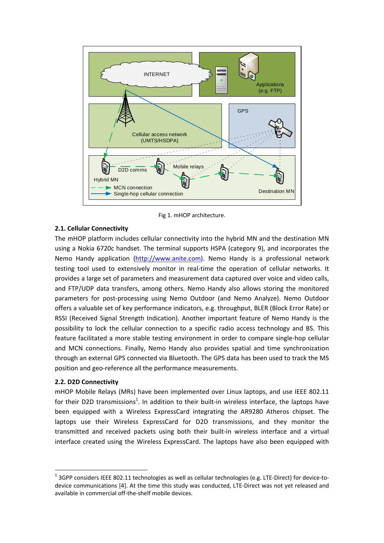

Fig 1. mHOP architecture.

## **2.1. Cellular Connectivity**

The mHOP platform includes cellular connectivity into the hybrid MN and the destination MN using a Nokia 6720c handset. The terminal supports HSPA (category 9), and incorporates the Nemo Handy application (http://www.anite.com). Nemo Handy is a professional network testing tool used to extensively monitor in real-time the operation of cellular networks. It provides a large set of parameters and measurement data captured over voice and video calls, and FTP/UDP data transfers, among others. Nemo Handy also allows storing the monitored parameters for post-processing using Nemo Outdoor (and Nemo Analyze). Nemo Outdoor offers a valuable set of key performance indicators, e.g. throughput, BLER (Block Error Rate) or RSSI (Received Signal Strength Indication). Another important feature of Nemo Handy is the possibility to lock the cellular connection to a specific radio access technology and BS. This feature facilitated a more stable testing environment in order to compare single‐hop cellular and MCN connections. Finally, Nemo Handy also provides spatial and time synchronization through an external GPS connected via Bluetooth. The GPS data has been used to track the MS position and geo‐reference all the performance measurements.

## **2.2. D2D Connectivity**

mHOP Mobile Relays (MRs) have been implemented over Linux laptops, and use IEEE 802.11 for their D2D transmissions<sup>1</sup>. In addition to their built-in wireless interface, the laptops have been equipped with a Wireless ExpressCard integrating the AR9280 Atheros chipset. The laptops use their Wireless ExpressCard for D2D transmissions, and they monitor the transmitted and received packets using both their built‐in wireless interface and a virtual interface created using the Wireless ExpressCard. The laptops have also been equipped with

 $1$  3GPP considers IEEE 802.11 technologies as well as cellular technologies (e.g. LTE-Direct) for device-todevice communications [4]. At the time this study was conducted, LTE‐Direct was not yet released and available in commercial off‐the‐shelf mobile devices.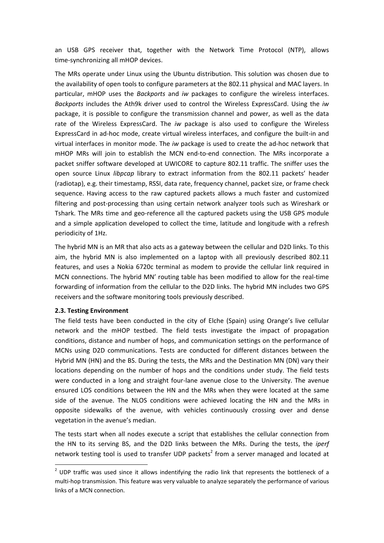an USB GPS receiver that, together with the Network Time Protocol (NTP), allows time‐synchronizing all mHOP devices.

The MRs operate under Linux using the Ubuntu distribution. This solution was chosen due to the availability of open tools to configure parameters at the 802.11 physical and MAC layers. In particular, mHOP uses the *Backports* and *iw* packages to configure the wireless interfaces. *Backports* includes the Ath9k driver used to control the Wireless ExpressCard. Using the *iw* package, it is possible to configure the transmission channel and power, as well as the data rate of the Wireless ExpressCard. The *iw* package is also used to configure the Wireless ExpressCard in ad‐hoc mode, create virtual wireless interfaces, and configure the built‐in and virtual interfaces in monitor mode. The *iw* package is used to create the ad-hoc network that mHOP MRs will join to establish the MCN end‐to‐end connection. The MRs incorporate a packet sniffer software developed at UWICORE to capture 802.11 traffic. The sniffer uses the open source Linux *libpcap* library to extract information from the 802.11 packets' header (radiotap), e.g. their timestamp, RSSI, data rate, frequency channel, packet size, or frame check sequence. Having access to the raw captured packets allows a much faster and customized filtering and post‐processing than using certain network analyzer tools such as Wireshark or Tshark. The MRs time and geo‐reference all the captured packets using the USB GPS module and a simple application developed to collect the time, latitude and longitude with a refresh periodicity of 1Hz.

The hybrid MN is an MR that also acts as a gateway between the cellular and D2D links. To this aim, the hybrid MN is also implemented on a laptop with all previously described 802.11 features, and uses a Nokia 6720c terminal as modem to provide the cellular link required in MCN connections. The hybrid MN' routing table has been modified to allow for the real‐time forwarding of information from the cellular to the D2D links. The hybrid MN includes two GPS receivers and the software monitoring tools previously described.

## **2.3. Testing Environment**

The field tests have been conducted in the city of Elche (Spain) using Orange's live cellular network and the mHOP testbed. The field tests investigate the impact of propagation conditions, distance and number of hops, and communication settings on the performance of MCNs using D2D communications. Tests are conducted for different distances between the Hybrid MN (HN) and the BS. During the tests, the MRs and the Destination MN (DN) vary their locations depending on the number of hops and the conditions under study. The field tests were conducted in a long and straight four-lane avenue close to the University. The avenue ensured LOS conditions between the HN and the MRs when they were located at the same side of the avenue. The NLOS conditions were achieved locating the HN and the MRs in opposite sidewalks of the avenue, with vehicles continuously crossing over and dense vegetation in the avenue's median.

The tests start when all nodes execute a script that establishes the cellular connection from the HN to its serving BS, and the D2D links between the MRs. During the tests, the *iperf* network testing tool is used to transfer UDP packets<sup>2</sup> from a server managed and located at

 $2$  UDP traffic was used since it allows indentifying the radio link that represents the bottleneck of a multi-hop transmission. This feature was very valuable to analyze separately the performance of various links of a MCN connection.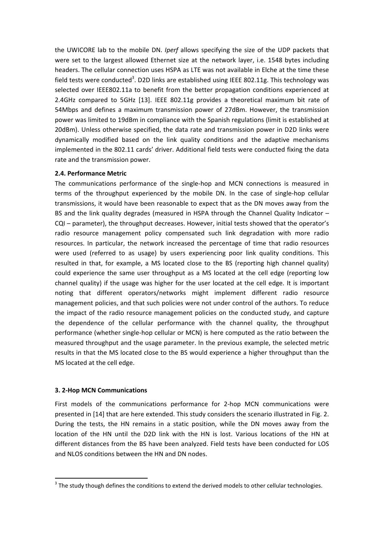the UWICORE lab to the mobile DN. *Iperf* allows specifying the size of the UDP packets that were set to the largest allowed Ethernet size at the network layer, i.e. 1548 bytes including headers. The cellular connection uses HSPA as LTE was not available in Elche at the time these field tests were conducted<sup>3</sup>. D2D links are established using IEEE 802.11g. This technology was selected over IEEE802.11a to benefit from the better propagation conditions experienced at 2.4GHz compared to 5GHz [13]. IEEE 802.11g provides a theoretical maximum bit rate of 54Mbps and defines a maximum transmission power of 27dBm. However, the transmission power was limited to 19dBm in compliance with the Spanish regulations (limit is established at 20dBm). Unless otherwise specified, the data rate and transmission power in D2D links were dynamically modified based on the link quality conditions and the adaptive mechanisms implemented in the 802.11 cards' driver. Additional field tests were conducted fixing the data rate and the transmission power.

## **2.4. Performance Metric**

The communications performance of the single‐hop and MCN connections is measured in terms of the throughput experienced by the mobile DN. In the case of single‐hop cellular transmissions, it would have been reasonable to expect that as the DN moves away from the BS and the link quality degrades (measured in HSPA through the Channel Quality Indicator – CQI – parameter), the throughput decreases. However, initial tests showed that the operator's radio resource management policy compensated such link degradation with more radio resources. In particular, the network increased the percentage of time that radio resources were used (referred to as usage) by users experiencing poor link quality conditions. This resulted in that, for example, a MS located close to the BS (reporting high channel quality) could experience the same user throughput as a MS located at the cell edge (reporting low channel quality) if the usage was higher for the user located at the cell edge. It is important noting that different operators/networks might implement different radio resource management policies, and that such policies were not under control of the authors. To reduce the impact of the radio resource management policies on the conducted study, and capture the dependence of the cellular performance with the channel quality, the throughput performance (whether single‐hop cellular or MCN) is here computed as the ratio between the measured throughput and the usage parameter. In the previous example, the selected metric results in that the MS located close to the BS would experience a higher throughput than the MS located at the cell edge.

## **3. 2‐Hop MCN Communications**

First models of the communications performance for 2‐hop MCN communications were presented in [14] that are here extended. This study considers the scenario illustrated in Fig. 2. During the tests, the HN remains in a static position, while the DN moves away from the location of the HN until the D2D link with the HN is lost. Various locations of the HN at different distances from the BS have been analyzed. Field tests have been conducted for LOS and NLOS conditions between the HN and DN nodes.

 $3$  The study though defines the conditions to extend the derived models to other cellular technologies.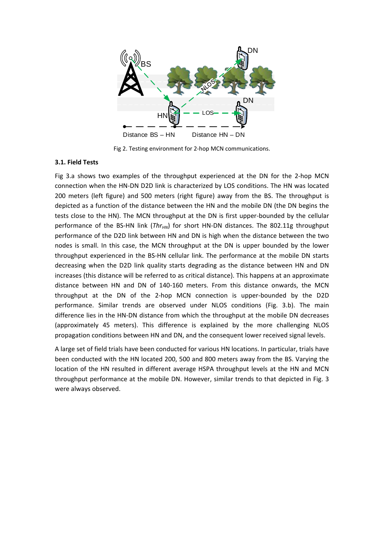

Fig 2. Testing environment for 2‐hop MCN communications.

## **3.1. Field Tests**

Fig 3.a shows two examples of the throughput experienced at the DN for the 2‐hop MCN connection when the HN‐DN D2D link is characterized by LOS conditions. The HN was located 200 meters (left figure) and 500 meters (right figure) away from the BS. The throughput is depicted as a function of the distance between the HN and the mobile DN (the DN begins the tests close to the HN). The MCN throughput at the DN is first upper-bounded by the cellular performance of the BS-HN link (*Thr<sub>HN</sub>*) for short HN-DN distances. The 802.11g throughput performance of the D2D link between HN and DN is high when the distance between the two nodes is small. In this case, the MCN throughput at the DN is upper bounded by the lower throughput experienced in the BS‐HN cellular link. The performance at the mobile DN starts decreasing when the D2D link quality starts degrading as the distance between HN and DN increases (this distance will be referred to as critical distance). This happens at an approximate distance between HN and DN of 140‐160 meters. From this distance onwards, the MCN throughput at the DN of the 2‐hop MCN connection is upper‐bounded by the D2D performance. Similar trends are observed under NLOS conditions (Fig. 3.b). The main difference lies in the HN‐DN distance from which the throughput at the mobile DN decreases (approximately 45 meters). This difference is explained by the more challenging NLOS propagation conditions between HN and DN, and the consequent lower received signal levels.

A large set of field trials have been conducted for various HN locations. In particular, trials have been conducted with the HN located 200, 500 and 800 meters away from the BS. Varying the location of the HN resulted in different average HSPA throughput levels at the HN and MCN throughput performance at the mobile DN. However, similar trends to that depicted in Fig. 3 were always observed.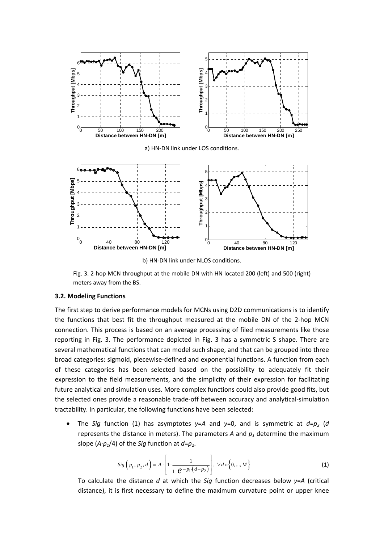

a) HN‐DN link under LOS conditions.



b) HN‐DN link under NLOS conditions.

Fig. 3. 2-hop MCN throughput at the mobile DN with HN located 200 (left) and 500 (right) meters away from the BS.

#### **3.2. Modeling Functions**

The first step to derive performance models for MCNs using D2D communications is to identify the functions that best fit the throughput measured at the mobile DN of the 2‐hop MCN connection. This process is based on an average processing of filed measurements like those reporting in Fig. 3. The performance depicted in Fig. 3 has a symmetric S shape. There are several mathematical functions that can model such shape, and that can be grouped into three broad categories: sigmoid, piecewise‐defined and exponential functions. A function from each of these categories has been selected based on the possibility to adequately fit their expression to the field measurements, and the simplicity of their expression for facilitating future analytical and simulation uses. More complex functions could also provide good fits, but the selected ones provide a reasonable trade‐off between accuracy and analytical‐simulation tractability. In particular, the following functions have been selected:

• The *Sig* function (1) has asymptotes  $y=A$  and  $y=0$ , and is symmetric at  $d=p_2$  (*d* represents the distance in meters). The parameters  $A$  and  $p_1$  determine the maximum slope ( $A \cdot p_1/4$ ) of the *Sig* function at  $d=p_2$ .

$$
Sig(p_1, p_2, d) = A \cdot \left[ 1 - \frac{1}{1 + e^{-p_1} (d - p_2)} \right], \ \forall d \in \left\{0, ..., M\right\}
$$
 (1)

To calculate the distance *d* at which the *Sig* function decreases below *y*=*A* (critical distance), it is first necessary to define the maximum curvature point or upper knee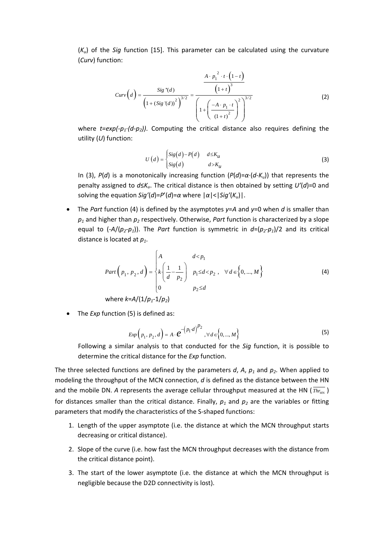(*Ku*) of the *Sig* function [15]. This parameter can be calculated using the curvature (*Curv*) function:

$$
Curv\left(d\right) = \frac{Sig^{n}(d)}{\left(1 + (Sig^{n}(d))^{2}\right)^{3/2}} = \frac{\frac{A \cdot p_{1}^{2} \cdot t \cdot \left(1 - t\right)}{\left(1 + t\right)^{3}}}{\left(1 + \left(\frac{-A \cdot p_{1} \cdot t}{\left(1 + t\right)^{2}}\right)^{2}\right)^{3/2}}
$$
(2)

where *t=exp(‐p1∙(d‐p2))*. Computing the critical distance also requires defining the utility (*U*) function:

$$
U(d) = \begin{cases} Sig(d) - P(d) & d \le K_u \\ Sig(d) & d > K_u \end{cases}
$$
 (3)

In (3), *P*(*d*) is a monotonically increasing function (*P*(*d*)=*α*∙(*d*‐*K*u)) that represents the penalty assigned to *d*≤*Ku*. The critical distance is then obtained by setting *U'*(*d*)=0 and solving the equation *Sig'*(*d*)=*P*'(*d*)=*α* where |*α*|<|*Sig'*(*Ku*)|.

 The *Part* function (4) is defined by the asymptotes *y*=*A* and *y*=0 when *d* is smaller than  $p_1$  and higher than  $p_2$  respectively. Otherwise, *Part* function is characterized by a slope equal to  $(-A/(p_2-p_1))$ . The *Part* function is symmetric in  $d=(p_2-p_1)/2$  and its critical distance is located at *p1*.

$$
Part\left(p_1, p_2, d\right) = \begin{cases} A & d < p_1 \\ k\left(\frac{1}{d} - \frac{1}{p_2}\right) & p_1 \le d < p_2 \\ 0 & p_2 \le d \end{cases}, \forall d \in \left\{0, ..., M\right\}
$$
(4)  
where  $k = A/(1/p_1 - 1/p_2)$ 

The *Exp* function (5) is defined as:

$$
Exp(p_1, p_2, d) = A \cdot e^{-\left(p_1 \cdot d\right)^{p_2}}, \forall d \in \left\{0, ..., M\right\}
$$
\n(5)

Following a similar analysis to that conducted for the *Sig* function, it is possible to determine the critical distance for the *Exp* function.

The three selected functions are defined by the parameters  $d$ ,  $A$ ,  $p_1$  and  $p_2$ . When applied to modeling the throughput of the MCN connection, *d* is defined as the distance between the HN and the mobile DN. *A* represents the average cellular throughput measured at the HN  $(Th_{T_{\text{HN}}})$ for distances smaller than the critical distance. Finally,  $p_1$  and  $p_2$  are the variables or fitting parameters that modify the characteristics of the S‐shaped functions:

- 1. Length of the upper asymptote (i.e. the distance at which the MCN throughput starts decreasing or critical distance).
- 2. Slope of the curve (i.e. how fast the MCN throughput decreases with the distance from the critical distance point).
- 3. The start of the lower asymptote (i.e. the distance at which the MCN throughput is negligible because the D2D connectivity is lost).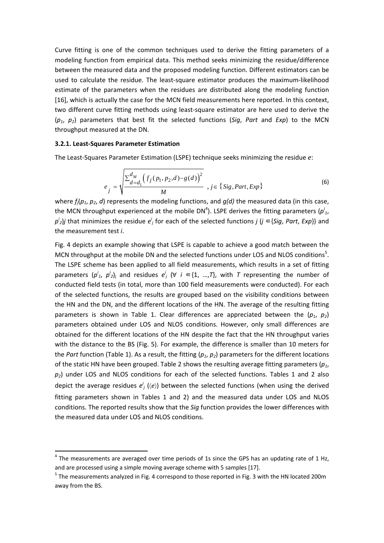Curve fitting is one of the common techniques used to derive the fitting parameters of a modeling function from empirical data. This method seeks minimizing the residue/difference between the measured data and the proposed modeling function. Different estimators can be used to calculate the residue. The least‐square estimator produces the maximum‐likelihood estimate of the parameters when the residues are distributed along the modeling function [16], which is actually the case for the MCN field measurements here reported. In this context, two different curve fitting methods using least‐square estimator are here used to derive the (*p1*, *p2*) parameters that best fit the selected functions (*Sig*, *Part* and *Exp*) to the MCN throughput measured at the DN.

#### **3.2.1. Least‐Squares Parameter Estimation**

The Least‐Squares Parameter Estimation (LSPE) technique seeks minimizing the residue *e*:

$$
e_{j} = \sqrt{\frac{\sum_{d=d_{1}}^{d_{M}} (f_{j}(p_{1}, p_{2}, d) - g(d))^{2}}{M}}, j \in \{Sig, Part, Exp\}
$$
\n(6)

where  $f_i(p_1, p_2, d)$  represents the modeling functions, and  $q(d)$  the measured data (in this case, the MCN throughput experienced at the mobile DN<sup>4</sup>). LSPE derives the fitting parameters ( $p^i_{1}$ ,  $p^i{}_2$ )*j* that minimizes the residue  $e^i{}_j$  for each of the selected functions *j* (*j* ∈ {*Sig*, *Part*, *Exp*}) and the measurement test *i*.

Fig. 4 depicts an example showing that LSPE is capable to achieve a good match between the MCN throughput at the mobile DN and the selected functions under LOS and NLOS conditions<sup>5</sup>. The LSPE scheme has been applied to all field measurements, which results in a set of fitting parameters  $(p^i_1, p^i_2)_j$  and residues  $e^i_j$  ( $\forall i \in \{1, ..., T\}$ , with *T* representing the number of conducted field tests (in total, more than 100 field measurements were conducted). For each of the selected functions, the results are grouped based on the visibility conditions between the HN and the DN, and the different locations of the HN. The average of the resulting fitting parameters is shown in Table 1. Clear differences are appreciated between the  $(p_1, p_2)$ parameters obtained under LOS and NLOS conditions. However, only small differences are obtained for the different locations of the HN despite the fact that the HN throughput varies with the distance to the BS (Fig. 5). For example, the difference is smaller than 10 meters for the *Part* function (Table 1). As a result, the fitting  $(p_1, p_2)$  parameters for the different locations of the static HN have been grouped. Table 2 shows the resulting average fitting parameters  $(p_1, p_2)$  $p_2$ ) under LOS and NLOS conditions for each of the selected functions. Tables 1 and 2 also depict the average residues  $e^i_j \langle \langle e \rangle$ ) between the selected functions (when using the derived fitting parameters shown in Tables 1 and 2) and the measured data under LOS and NLOS conditions. The reported results show that the *Sig* function provides the lower differences with the measured data under LOS and NLOS conditions.

 $4$  The measurements are averaged over time periods of 1s since the GPS has an updating rate of 1 Hz, and are processed using a simple moving average scheme with 5 samples [17].

 $^5$  The measurements analyzed in Fig. 4 correspond to those reported in Fig. 3 with the HN located 200m away from the BS.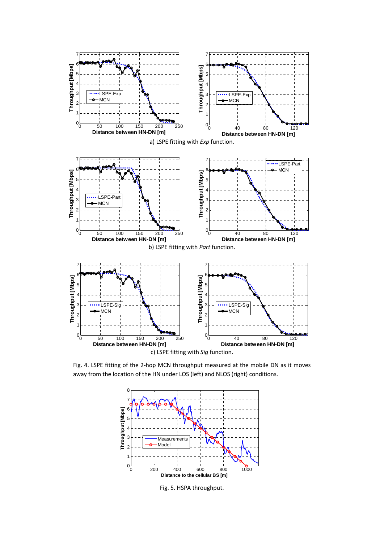

Fig. 4. LSPE fitting of the 2-hop MCN throughput measured at the mobile DN as it moves away from the location of the HN under LOS (left) and NLOS (right) conditions.



Fig. 5. HSPA throughput.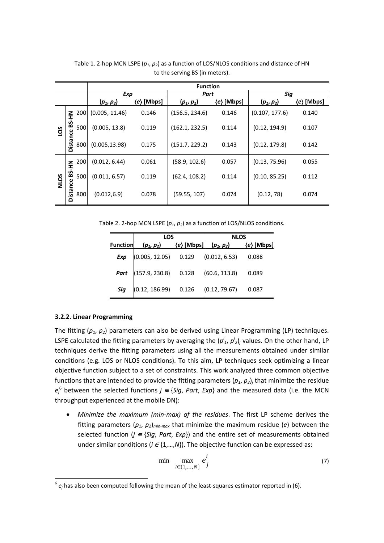|             |                 |     | <b>Function</b>                    |            |                                    |            |                |            |
|-------------|-----------------|-----|------------------------------------|------------|------------------------------------|------------|----------------|------------|
|             |                 |     | Exp                                |            | Part                               |            | Sig            |            |
|             |                 |     | (p <sub>1</sub> , p <sub>2</sub> ) | (e) [Mbps] | (p <sub>1</sub> , p <sub>2</sub> ) | (e) [Mbps] | $(p_1, p_2)$   | (e) [Mbps] |
| Sol         | BS-HN           | 200 | (0.005, 11.46)                     | 0.146      | (156.5, 234.6)                     | 0.146      | (0.107, 177.6) | 0.140      |
|             |                 | 500 | (0.005, 13.8)                      | 0.119      | (162.1, 232.5)                     | 0.114      | (0.12, 194.9)  | 0.107      |
|             | <b>Distance</b> | 800 | (0.005, 13.98)                     | 0.175      | (151.7, 229.2)                     | 0.143      | (0.12, 179.8)  | 0.142      |
| <b>NLOS</b> |                 | 200 | (0.012, 6.44)                      | 0.061      | (58.9, 102.6)                      | 0.057      | (0.13, 75.96)  | 0.055      |
|             | BS-HN           | 500 | (0.011, 6.57)                      | 0.119      | (62.4, 108.2)                      | 0.114      | (0.10, 85.25)  | 0.112      |
|             | <b>Distance</b> | 800 | (0.012, 6.9)                       | 0.078      | (59.55, 107)                       | 0.074      | (0.12, 78)     | 0.074      |

Table 1. 2-hop MCN LSPE ( $p_1$ ,  $p_2$ ) as a function of LOS/NLOS conditions and distance of HN to the serving BS (in meters).

Table 2. 2-hop MCN LSPE  $(p_1, p_2)$  as a function of LOS/NLOS conditions.

|                 | LOS            |                            | <b>NLOS</b>   |                            |  |
|-----------------|----------------|----------------------------|---------------|----------------------------|--|
| <b>Function</b> | $(p_1, p_2)$   | $\langle e \rangle$ [Mbps] | $(p_1, p_2)$  | $\langle e \rangle$ [Mbps] |  |
| Exp             | (0.005, 12.05) | 0.129                      | (0.012, 6.53) | 0.088                      |  |
| Part            | (157.9, 230.8) | 0.128                      | (60.6, 113.8) | 0.089                      |  |
| Sig             | (0.12, 186.99) | 0.126                      | (0.12, 79.67) | 0.087                      |  |

#### **3.2.2. Linear Programming**

The fitting ( $p_1$ ,  $p_2$ ) parameters can also be derived using Linear Programming (LP) techniques. LSPE calculated the fitting parameters by averaging the  $(\rho_1^i, \rho_2^i)$  values. On the other hand, LP techniques derive the fitting parameters using all the measurements obtained under similar conditions (e.g. LOS or NLOS conditions). To this aim, LP techniques seek optimizing a linear objective function subject to a set of constraints. This work analyzed three common objective functions that are intended to provide the fitting parameters  $(p_1, p_2)$ <sub>*j*</sub> that minimize the residue *ej* <sup>6</sup> between the selected functions *j* <sup>∈</sup> {*Sig*, *Part*, *Exp*} and the measured data (i.e. the MCN throughput experienced at the mobile DN):

 *Minimize the maximum (min‐max) of the residues*. The first LP scheme derives the fitting parameters  $(p_1, p_2)_{min-max}$  that minimize the maximum residue (e) between the selected function ( $j$  ∈ {*Sig*, *Part*, *Exp*}) and the entire set of measurements obtained under similar conditions ( $i \in \{1,...,N\}$ ). The objective function can be expressed as:

$$
\min \quad \max_{i \in \{1, \ldots, N\}} e^i_j \tag{7}
$$

 $^6$   $e_i$  has also been computed following the mean of the least-squares estimator reported in (6).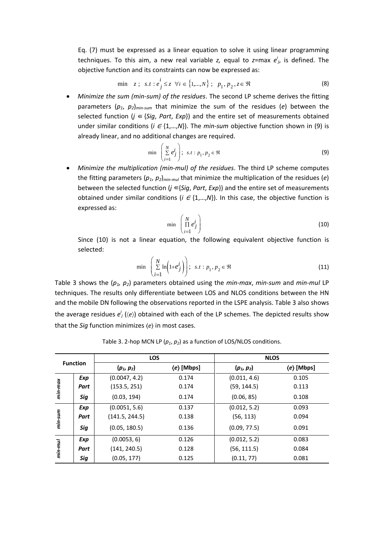Eq. (7) must be expressed as a linear equation to solve it using linear programming techniques. To this aim, a new real variable z, equal to z=max  $e^i_{j}$ , is defined. The objective function and its constraints can now be expressed as:

$$
\min \quad z \; ; \; s.t : e^i_j \leq z \; \; \forall i \in \{1, ..., N\} \; ; \; \; p_1, p_2, z \in \Re \tag{8}
$$

 *Minimize the sum (min‐sum) of the residues*. The second LP scheme derives the fitting parameters (*p1*, *p2*)*min‐sum* that minimize the sum of the residues (*e*) between the selected function (*j* ∈ {*Sig*, *Part*, *Exp*}) and the entire set of measurements obtained under similar conditions ( $i \in \{1,...,N\}$ ). The *min*-sum objective function shown in (9) is already linear, and no additional changes are required.

$$
\min \left( \sum_{i=1}^{N} e_j^i \right); \quad s.t: p_1, p_2 \in \mathfrak{R} \tag{9}
$$

 *Minimize the multiplication (min‐mul) of the residues*. The third LP scheme computes the fitting parameters  $(p_1, p_2)_{min-mul}$  that minimize the multiplication of the residues (e) between the selected function (*j* ∈ {*Sig*, *Part*, *Exp*}) and the entire set of measurements obtained under similar conditions ( $i \in \{1,...,N\}$ ). In this case, the objective function is expressed as:

$$
\min \left( \prod_{i=1}^{N} e_j^i \right) \tag{10}
$$

Since (10) is not a linear equation, the following equivalent objective function is selected:

$$
\min \left( \sum_{i=1}^{N} \ln \left( 1 + e^{i} \right) \right); \quad s.t: p_1, p_2 \in \mathfrak{R} \tag{11}
$$

Table 3 shows the  $(p_1, p_2)$  parameters obtained using the *min-max*, *min-sum* and *min-mul* LP techniques. The results only differentiate between LOS and NLOS conditions between the HN and the mobile DN following the observations reported in the LSPE analysis. Table 3 also shows the average residues  $e^i_j$  ( $\langle e \rangle$ ) obtained with each of the LP schemes. The depicted results show that the *Sig* function minimizes (e) in most cases.

**LOS NLOS Function (***p1, p2***)** 〈*e*〉 **[Mbps] (***p1, p2***)** 〈*e*〉 **[Mbps] Exp** (0.0047, 4.2) 0.174 (0.011, 4.6) 0.105  $min-max$ *min‐max* **Part** (153.5, 251) 0.174 (59, 144.5) 0.113 **Sig** (0.03, 194) 0.174 (0.06, 85) 0.108 **Exp** (0.0051, 5.6) 0.137 (0.012, 5.2) 0.093 *min‐sum* **Part** (141.5, 244.5) 0.138 (56, 113) 0.094

**Sig** (0.05, 180.5) 0.136 (0.09, 77.5) 0.091

**Exp** (0.0053, 6) 0.126 (0.012, 5.2) 0.083 **Part** (141, 240.5) 0.128 (56, 111.5) 0.084 **Sig** (0.05, 177) 0.125 (0.11, 77) 0.081

*min‐mul*

Table 3. 2-hop MCN LP  $(p_1, p_2)$  as a function of LOS/NLOS conditions.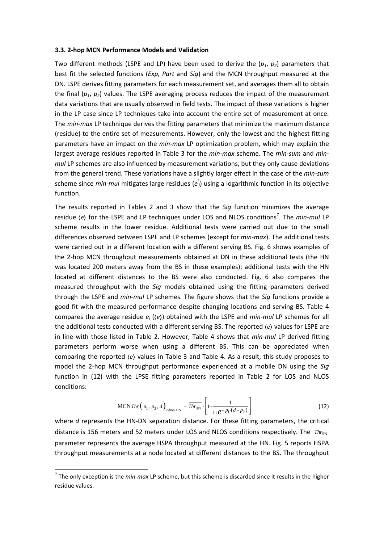#### **3.3. 2‐hop MCN Performance Models and Validation**

Two different methods (LSPE and LP) have been used to derive the  $(p_1, p_2)$  parameters that best fit the selected functions (*Exp, Part* and *Sig*) and the MCN throughput measured at the DN. LSPE derives fitting parameters for each measurement set, and averages them all to obtain the final  $(p_1, p_2)$  values. The LSPE averaging process reduces the impact of the measurement data variations that are usually observed in field tests. The impact of these variations is higher in the LP case since LP techniques take into account the entire set of measurement at once. The *min-max* LP technique derives the fitting parameters that minimize the maximum distance (residue) to the entire set of measurements. However, only the lowest and the highest fitting parameters have an impact on the *min-max* LP optimization problem, which may explain the largest average residues reported in Table 3 for the *min‐max* scheme. The *min‐sum* and *min‐ mul* LP schemes are also influenced by measurement variations, but they only cause deviations from the general trend. These variations have a slightly larger effect in the case of the *min‐sum* scheme since *min‐mul* mitigates large residues (*ei <sup>j</sup>*) using a logarithmic function in its objective function.

The results reported in Tables 2 and 3 show that the *Sig* function minimizes the average residue (e) for the LSPE and LP techniques under LOS and NLOS conditions<sup>7</sup>. The *min-mul* LP scheme results in the lower residue. Additional tests were carried out due to the small differences observed between LSPE and LP schemes (except for *min‐max*). The additional tests were carried out in a different location with a different serving BS. Fig. 6 shows examples of the 2‐hop MCN throughput measurements obtained at DN in these additional tests (the HN was located 200 meters away from the BS in these examples); additional tests with the HN located at different distances to the BS were also conducted. Fig. 6 also compares the measured throughput with the *Sig* models obtained using the fitting parameters derived through the LSPE and *min‐mul* LP schemes. The figure shows that the *Sig* functions provide a good fit with the measured performance despite changing locations and serving BS. Table 4 compares the average residue *ei* (〈*e*〉) obtained with the LSPE and *min‐mul* LP schemes for all the additional tests conducted with a different serving BS. The reported 〈*e*〉 values for LSPE are in line with those listed in Table 2. However, Table 4 shows that *min‐mul* LP derived fitting parameters perform worse when using a different BS. This can be appreciated when comparing the reported 〈*e*〉 values in Table 3 and Table 4. As a result, this study proposes to model the 2‐hop MCN throughput performance experienced at a mobile DN using the *Sig* function in (12) with the LPSE fitting parameters reported in Table 2 for LOS and NLOS conditions:

$$
MCNThr\left(p_1, p_2, d\right)_{2\text{-hop DN}} = \overline{Thr_{HN}} \cdot \left[1 - \frac{1}{1 + e^{-p_1 \cdot (d - p_2)}}\right]
$$
(12)

where *d* represents the HN-DN separation distance. For these fitting parameters, the critical distance is 156 meters and 52 meters under LOS and NLOS conditions respectively. The  $\overline{\textit{Thr}_{HN}}$ parameter represents the average HSPA throughput measured at the HN. Fig. 5 reports HSPA throughput measurements at a node located at different distances to the BS. The throughput

<sup>7</sup> The only exception is the *min‐max* LP scheme, but this scheme is discarded since it results in the higher residue values.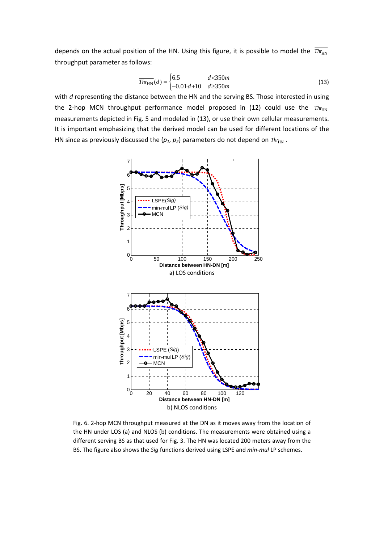depends on the actual position of the HN. Using this figure, it is possible to model the  $\overline{Thr_{HN}}$ throughput parameter as follows:

$$
\overline{Thr_{HN}}(d) = \begin{cases} 6.5 & d < 350m \\ -0.01 \cdot d + 10 & d \ge 350m \end{cases}
$$
(13)

with *d* representing the distance between the HN and the serving BS. Those interested in using the 2-hop MCN throughput performance model proposed in (12) could use the  $\overline{Thr_{HN}}$ measurements depicted in Fig. 5 and modeled in (13), or use their own cellular measurements. It is important emphasizing that the derived model can be used for different locations of the HN since as previously discussed the ( $p_1$ ,  $p_2$ ) parameters do not depend on  $\overline{\text{Th}_{\text{HN}}}$ .



Fig. 6. 2-hop MCN throughput measured at the DN as it moves away from the location of the HN under LOS (a) and NLOS (b) conditions. The measurements were obtained using a different serving BS as that used for Fig. 3. The HN was located 200 meters away from the BS. The figure also shows the *Sig* functions derived using LSPE and *min‐mul* LP schemes.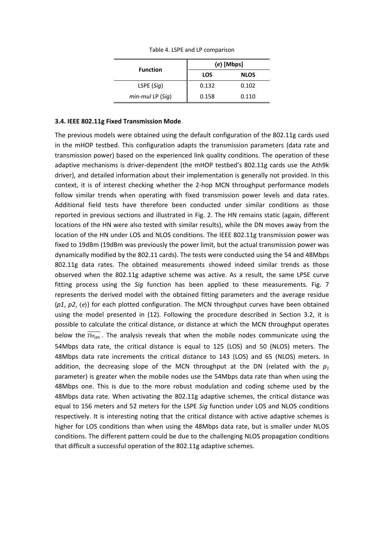| <b>Function</b>     | $\langle e \rangle$ [Mbps] |             |  |  |
|---------------------|----------------------------|-------------|--|--|
|                     | LOS                        | <b>NLOS</b> |  |  |
| LSPE $(Sig)$        | 0.132                      | 0.102       |  |  |
| $min$ -mul LP (Sig) | 0.158                      | 0.110       |  |  |

Table 4. LSPE and LP comparison

#### **3.4. IEEE 802.11g Fixed Transmission Mode**

The previous models were obtained using the default configuration of the 802.11g cards used in the mHOP testbed. This configuration adapts the transmission parameters (data rate and transmission power) based on the experienced link quality conditions. The operation of these adaptive mechanisms is driver‐dependent (the mHOP testbed's 802.11g cards use the Ath9k driver), and detailed information about their implementation is generally not provided. In this context, it is of interest checking whether the 2‐hop MCN throughput performance models follow similar trends when operating with fixed transmission power levels and data rates. Additional field tests have therefore been conducted under similar conditions as those reported in previous sections and illustrated in Fig. 2. The HN remains static (again, different locations of the HN were also tested with similar results), while the DN moves away from the location of the HN under LOS and NLOS conditions. The IEEE 802.11g transmission power was fixed to 19dBm (19dBm was previously the power limit, but the actual transmission power was dynamically modified by the 802.11 cards). The tests were conducted using the 54 and 48Mbps 802.11g data rates. The obtained measurements showed indeed similar trends as those observed when the 802.11g adaptive scheme was active. As a result, the same LPSE curve fitting process using the *Sig* function has been applied to these measurements. Fig. 7 represents the derived model with the obtained fitting parameters and the average residue (*p1*, *p2*, 〈*e*〉) for each plotted configuration. The MCN throughput curves have been obtained using the model presented in (12). Following the procedure described in Section 3.2, it is possible to calculate the critical distance, or distance at which the MCN throughput operates below the  $\overline{\textit{Thr}_{\text{HN}}}$ . The analysis reveals that when the mobile nodes communicate using the 54Mbps data rate, the critical distance is equal to 125 (LOS) and 50 (NLOS) meters. The 48Mbps data rate increments the critical distance to 143 (LOS) and 65 (NLOS) meters. In addition, the decreasing slope of the MCN throughput at the DN (related with the  $p_1$ parameter) is greater when the mobile nodes use the 54Mbps data rate than when using the 48Mbps one. This is due to the more robust modulation and coding scheme used by the 48Mbps data rate. When activating the 802.11g adaptive schemes, the critical distance was equal to 156 meters and 52 meters for the LSPE *Sig* function under LOS and NLOS conditions respectively. It is interesting noting that the critical distance with active adaptive schemes is higher for LOS conditions than when using the 48Mbps data rate, but is smaller under NLOS conditions. The different pattern could be due to the challenging NLOS propagation conditions that difficult a successful operation of the 802.11g adaptive schemes.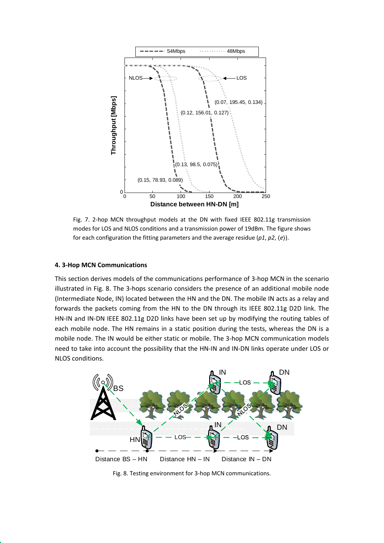

Fig. 7. 2-hop MCN throughput models at the DN with fixed IEEE 802.11g transmission modes for LOS and NLOS conditions and a transmission power of 19dBm. The figure shows for each configuration the fitting parameters and the average residue (*p1*, *p2*, 〈*e*〉).

#### **4. 3‐Hop MCN Communications**

This section derives models of the communications performance of 3‐hop MCN in the scenario illustrated in Fig. 8. The 3‐hops scenario considers the presence of an additional mobile node (Intermediate Node, IN) located between the HN and the DN. The mobile IN acts as a relay and forwards the packets coming from the HN to the DN through its IEEE 802.11g D2D link. The HN-IN and IN-DN IEEE 802.11g D2D links have been set up by modifying the routing tables of each mobile node. The HN remains in a static position during the tests, whereas the DN is a mobile node. The IN would be either static or mobile. The 3‐hop MCN communication models need to take into account the possibility that the HN-IN and IN-DN links operate under LOS or NLOS conditions.



Fig. 8. Testing environment for 3‐hop MCN communications.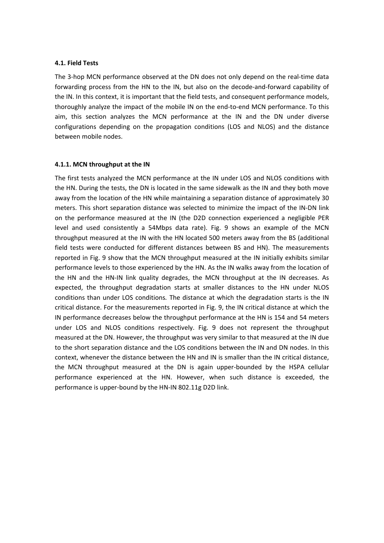#### **4.1. Field Tests**

The 3-hop MCN performance observed at the DN does not only depend on the real-time data forwarding process from the HN to the IN, but also on the decode-and-forward capability of the IN. In this context, it is important that the field tests, and consequent performance models, thoroughly analyze the impact of the mobile IN on the end-to-end MCN performance. To this aim, this section analyzes the MCN performance at the IN and the DN under diverse configurations depending on the propagation conditions (LOS and NLOS) and the distance between mobile nodes.

## **4.1.1. MCN throughput at the IN**

The first tests analyzed the MCN performance at the IN under LOS and NLOS conditions with the HN. During the tests, the DN is located in the same sidewalk as the IN and they both move away from the location of the HN while maintaining a separation distance of approximately 30 meters. This short separation distance was selected to minimize the impact of the IN‐DN link on the performance measured at the IN (the D2D connection experienced a negligible PER level and used consistently a 54Mbps data rate). Fig. 9 shows an example of the MCN throughput measured at the IN with the HN located 500 meters away from the BS (additional field tests were conducted for different distances between BS and HN). The measurements reported in Fig. 9 show that the MCN throughput measured at the IN initially exhibits similar performance levels to those experienced by the HN. As the IN walks away from the location of the HN and the HN-IN link quality degrades, the MCN throughput at the IN decreases. As expected, the throughput degradation starts at smaller distances to the HN under NLOS conditions than under LOS conditions*.* The distance at which the degradation starts is the IN critical distance. For the measurements reported in Fig. 9, the IN critical distance at which the IN performance decreases below the throughput performance at the HN is 154 and 54 meters under LOS and NLOS conditions respectively. Fig. 9 does not represent the throughput measured at the DN. However, the throughput was very similar to that measured at the IN due to the short separation distance and the LOS conditions between the IN and DN nodes. In this context, whenever the distance between the HN and IN is smaller than the IN critical distance, the MCN throughput measured at the DN is again upper‐bounded by the HSPA cellular performance experienced at the HN. However, when such distance is exceeded, the performance is upper‐bound by the HN‐IN 802.11g D2D link.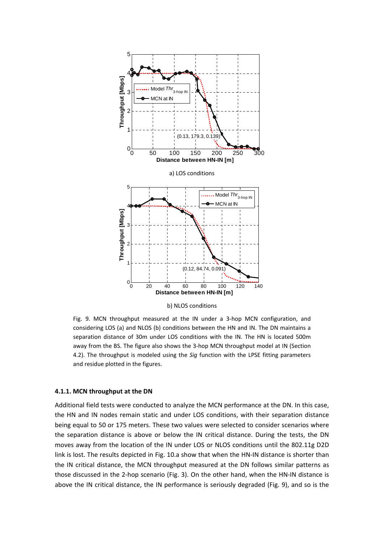

Fig. 9. MCN throughput measured at the IN under a 3-hop MCN configuration, and considering LOS (a) and NLOS (b) conditions between the HN and IN. The DN maintains a separation distance of 30m under LOS conditions with the IN. The HN is located 500m away from the BS. The figure also shows the 3‐hop MCN throughput model at IN (Section 4.2). The throughput is modeled using the *Sig* function with the LPSE fitting parameters and residue plotted in the figures.

#### **4.1.1. MCN throughput at the DN**

Additional field tests were conducted to analyze the MCN performance at the DN. In this case, the HN and IN nodes remain static and under LOS conditions, with their separation distance being equal to 50 or 175 meters. These two values were selected to consider scenarios where the separation distance is above or below the IN critical distance. During the tests, the DN moves away from the location of the IN under LOS or NLOS conditions until the 802.11g D2D link is lost. The results depicted in Fig. 10.a show that when the HN-IN distance is shorter than the IN critical distance, the MCN throughput measured at the DN follows similar patterns as those discussed in the 2‐hop scenario (Fig. 3). On the other hand, when the HN‐IN distance is above the IN critical distance, the IN performance is seriously degraded (Fig. 9), and so is the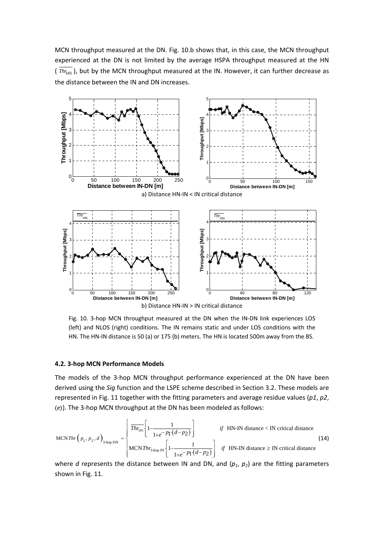MCN throughput measured at the DN. Fig. 10.b shows that, in this case, the MCN throughput experienced at the DN is not limited by the average HSPA throughput measured at the HN ( $\overline{Thr}_{HN}$ ), but by the MCN throughput measured at the IN. However, it can further decrease as the distance between the IN and DN increases.



Fig. 10. 3-hop MCN throughput measured at the DN when the IN-DN link experiences LOS (left) and NLOS (right) conditions. The IN remains static and under LOS conditions with the HN. The HN‐IN distance is 50 (a) or 175 (b) meters. The HN is located 500m away from the BS.

#### **4.2. 3‐hop MCN Performance Models**

The models of the 3-hop MCN throughput performance experienced at the DN have been derived using the *Sig* function and the LSPE scheme described in Section 3.2. These models are represented in Fig. 11 together with the fitting parameters and average residue values (*p1*, *p2*, 〈*e*〉). The 3‐hop MCN throughput at the DN has been modeled as follows:

$$
MCNThr\left(p_1, p_2, d\right)_{\text{3-hop DN}} = \begin{cases} \overline{Thr_{\text{HN}}} \left[ 1 - \frac{1}{1 + e^{-p_1} (d - p_2)} \right] & \text{if HN-IN distance} < \text{IN critical distance} \\ MCNThr_{\text{3-hop IN}} \left[ 1 - \frac{1}{1 + e^{-p_1} (d - p_2)} \right] & \text{if HN-IN distance} \geq \text{IN critical distance} \end{cases}
$$
\n
$$
(14)
$$

where *d* represents the distance between IN and DN, and  $(p_1, p_2)$  are the fitting parameters shown in Fig. 11.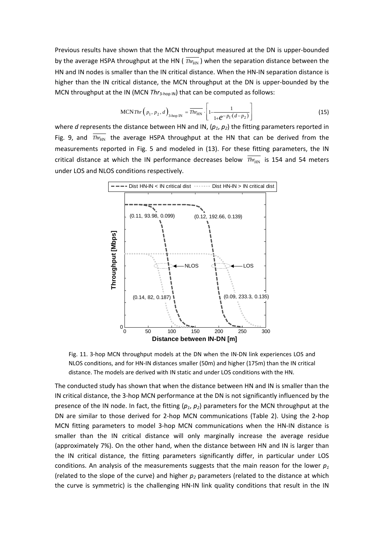Previous results have shown that the MCN throughput measured at the DN is upper‐bounded by the average HSPA throughput at the HN  $(Tn_{\text{HIN}})$  when the separation distance between the HN and IN nodes is smaller than the IN critical distance. When the HN‐IN separation distance is higher than the IN critical distance, the MCN throughput at the DN is upper-bounded by the MCN throughput at the IN (MCN *Thr*<sub>3-hop IN</sub>) that can be computed as follows:

$$
MCN\,Thr\left(p_1, p_2, d\right)_{3\text{-hop IN}} = \overline{Thr_{HN}} \cdot \left[1 - \frac{1}{1 + e^{-p_1 \cdot (d - p_2)}}\right] \tag{15}
$$

where *d* represents the distance between HN and IN,  $(p_1, p_2)$  the fitting parameters reported in Fig. 9, and  $\overline{Thr_{HN}}$  the average HSPA throughput at the HN that can be derived from the measurements reported in Fig. 5 and modeled in (13). For these fitting parameters, the IN critical distance at which the IN performance decreases below  $\overline{Thr}_{HN}$  is 154 and 54 meters under LOS and NLOS conditions respectively.



Fig. 11. 3-hop MCN throughput models at the DN when the IN-DN link experiences LOS and NLOS conditions, and for HN‐IN distances smaller (50m) and higher (175m) than the IN critical distance. The models are derived with IN static and under LOS conditions with the HN.

The conducted study has shown that when the distance between HN and IN is smaller than the IN critical distance, the 3‐hop MCN performance at the DN is not significantly influenced by the presence of the IN node. In fact, the fitting  $(p_1, p_2)$  parameters for the MCN throughput at the DN are similar to those derived for 2‐hop MCN communications (Table 2). Using the 2‐hop MCN fitting parameters to model 3-hop MCN communications when the HN-IN distance is smaller than the IN critical distance will only marginally increase the average residue (approximately 7%). On the other hand, when the distance between HN and IN is larger than the IN critical distance, the fitting parameters significantly differ, in particular under LOS conditions. An analysis of the measurements suggests that the main reason for the lower  $p_1$ (related to the slope of the curve) and higher  $p_2$  parameters (related to the distance at which the curve is symmetric) is the challenging HN-IN link quality conditions that result in the IN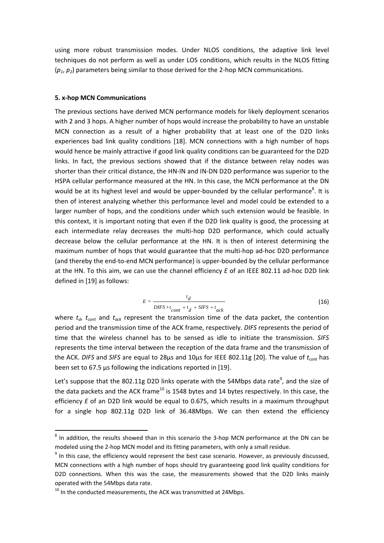using more robust transmission modes. Under NLOS conditions, the adaptive link level techniques do not perform as well as under LOS conditions, which results in the NLOS fitting  $(p_1, p_2)$  parameters being similar to those derived for the 2-hop MCN communications.

### **5. x‐hop MCN Communications**

The previous sections have derived MCN performance models for likely deployment scenarios with 2 and 3 hops. A higher number of hops would increase the probability to have an unstable MCN connection as a result of a higher probability that at least one of the D2D links experiences bad link quality conditions [18]. MCN connections with a high number of hops would hence be mainly attractive if good link quality conditions can be guaranteed for the D2D links. In fact, the previous sections showed that if the distance between relay nodes was shorter than their critical distance, the HN‐IN and IN‐DN D2D performance was superior to the HSPA cellular performance measured at the HN. In this case, the MCN performance at the DN would be at its highest level and would be upper-bounded by the cellular performance<sup>8</sup>. It is then of interest analyzing whether this performance level and model could be extended to a larger number of hops, and the conditions under which such extension would be feasible. In this context, it is important noting that even if the D2D link quality is good, the processing at each intermediate relay decreases the multi‐hop D2D performance, which could actually decrease below the cellular performance at the HN. It is then of interest determining the maximum number of hops that would guarantee that the multi‐hop ad‐hoc D2D performance (and thereby the end‐to‐end MCN performance) is upper‐bounded by the cellular performance at the HN. To this aim, we can use the channel efficiency *E* of an IEEE 802.11 ad-hoc D2D link defined in [19] as follows:

$$
E = \frac{t_d}{DIFS + t_{cont} + t_d + SIFS + t_{ack}}
$$
(16)

where  $t_d$ ,  $t_{cont}$  and  $t_{ack}$  represent the transmission time of the data packet, the contention period and the transmission time of the ACK frame, respectively. *DIFS* represents the period of time that the wireless channel has to be sensed as idle to initiate the transmission. *SIFS* represents the time interval between the reception of the data frame and the transmission of the ACK. *DIFS* and *SIFS* are equal to 28µs and 10µs for IEEE 802.11g [20]. The value of *tcont* has been set to 67.5 µs following the indications reported in [19].

Let's suppose that the 802.11g D2D links operate with the 54Mbps data rate<sup>9</sup>, and the size of the data packets and the ACK frame<sup>10</sup> is 1548 bytes and 14 bytes respectively. In this case, the efficiency *E* of an D2D link would be equal to 0.675, which results in a maximum throughput for a single hop 802.11g D2D link of 36.48Mbps. We can then extend the efficiency

<sup>&</sup>lt;sup>8</sup> In addition, the results showed than in this scenario the 3-hop MCN performance at the DN can be modeled using the 2‐hop MCN model and its fitting parameters, with only a small residue.

 $9$  In this case, the efficiency would represent the best case scenario. However, as previously discussed, MCN connections with a high number of hops should try guaranteeing good link quality conditions for D2D connections. When this was the case, the measurements showed that the D2D links mainly operated with the 54Mbps data rate.

 $10$  In the conducted measurements, the ACK was transmitted at 24Mbps.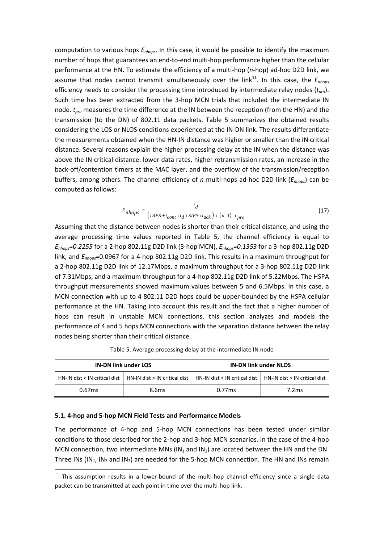computation to various hops *Enhops*. In this case, it would be possible to identify the maximum number of hops that guarantees an end‐to‐end multi‐hop performance higher than the cellular performance at the HN. To estimate the efficiency of a multi‐hop (*n*‐hop) ad‐hoc D2D link, we assume that nodes cannot transmit simultaneously over the link<sup>11</sup>. In this case, the  $E_{nhops}$ efficiency needs to consider the processing time introduced by intermediate relay nodes (t<sub>oro</sub>). Such time has been extracted from the 3-hop MCN trials that included the intermediate IN node.  $t_{\text{pre}}$  measures the time difference at the IN between the reception (from the HN) and the transmission (to the DN) of 802.11 data packets. Table 5 summarizes the obtained results considering the LOS or NLOS conditions experienced at the IN‐DN link. The results differentiate the measurements obtained when the HN‐IN distance was higher or smaller than the IN critical distance. Several reasons explain the higher processing delay at the IN when the distance was above the IN critical distance: lower data rates, higher retransmission rates, an increase in the back‐off/contention timers at the MAC layer, and the overflow of the transmission/reception buffers, among others. The channel efficiency of *n* multi-hops ad-hoc D2D link ( $E_{nhops}$ ) can be computed as follows:

$$
E_{nhops} = \frac{t_d}{(DIFS + t_{cont} + t_d + SIFS + t_{ack}) + (n-1) \cdot t_{pro}} \tag{17}
$$

Assuming that the distance between nodes is shorter than their critical distance, and using the average processing time values reported in Table 5, the channel efficiency is equal to *Enhops=0.2255* for a 2‐hop 802.11g D2D link (3‐hop MCN), *Enhops=0.1353* for a 3‐hop 802.11g D2D link, and *Enhops*=0.0967 for a 4‐hop 802.11g D2D link. This results in a maximum throughput for a 2‐hop 802.11g D2D link of 12.17Mbps, a maximum throughput for a 3‐hop 802.11g D2D link of 7.31Mbps, and a maximum throughput for a 4‐hop 802.11g D2D link of 5.22Mbps. The HSPA throughput measurements showed maximum values between 5 and 6.5Mbps. In this case, a MCN connection with up to 4 802.11 D2D hops could be upper‐bounded by the HSPA cellular performance at the HN. Taking into account this result and the fact that a higher number of hops can result in unstable MCN connections, this section analyzes and models the performance of 4 and 5 hops MCN connections with the separation distance between the relay nodes being shorter than their critical distance.

|                    | <b>IN-DN link under LOS</b>                                       | <b>IN-DN link under NLOS</b>                                    |       |  |
|--------------------|-------------------------------------------------------------------|-----------------------------------------------------------------|-------|--|
|                    | $HN-IN$ dist < IN critical dist   $HN-IN$ dist > IN critical dist | $HN-IN$ dist < IN critical dist   HN-IN dist > IN critical dist |       |  |
| 0.67 <sub>ms</sub> | 8.6ms                                                             | 0.77 <sub>ms</sub>                                              | 7.2ms |  |

Table 5. Average processing delay at the intermediate IN node

#### **5.1. 4‐hop and 5‐hop MCN Field Tests and Performance Models**

The performance of 4‐hop and 5‐hop MCN connections has been tested under similar conditions to those described for the 2‐hop and 3‐hop MCN scenarios. In the case of the 4‐hop MCN connection, two intermediate MNs (IN<sub>1</sub> and IN<sub>2</sub>) are located between the HN and the DN. Three INs (IN<sub>1</sub>, IN<sub>2</sub> and IN<sub>3</sub>) are needed for the 5-hop MCN connection. The HN and INs remain

 $11$  This assumption results in a lower-bound of the multi-hop channel efficiency since a single data packet can be transmitted at each point in time over the multi-hop link.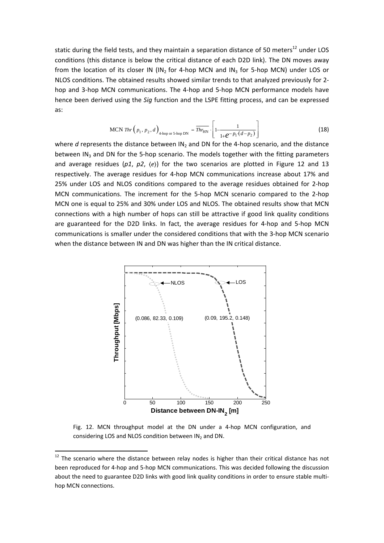static during the field tests, and they maintain a separation distance of 50 meters<sup>12</sup> under LOS conditions (this distance is below the critical distance of each D2D link). The DN moves away from the location of its closer IN (IN<sub>2</sub> for 4-hop MCN and IN<sub>3</sub> for 5-hop MCN) under LOS or NLOS conditions. The obtained results showed similar trends to that analyzed previously for 2‐ hop and 3-hop MCN communications. The 4-hop and 5-hop MCN performance models have hence been derived using the *Sig* function and the LSPE fitting process, and can be expressed as:

$$
\text{MCN}\text{ }Thr\left(p_1, p_2, d\right)_{4\text{-hop or 5-hop DN}} = \overline{Thr_{HN}} \cdot \left[1 - \frac{1}{1 + e^{-p_1 \cdot (d - p_2)}}\right] \tag{18}
$$

where *d* represents the distance between IN<sub>2</sub> and DN for the 4-hop scenario, and the distance between IN<sub>3</sub> and DN for the 5-hop scenario. The models together with the fitting parameters and average residues (p1, p2,  $\langle e \rangle$ ) for the two scenarios are plotted in Figure 12 and 13 respectively. The average residues for 4‐hop MCN communications increase about 17% and 25% under LOS and NLOS conditions compared to the average residues obtained for 2‐hop MCN communications. The increment for the 5‐hop MCN scenario compared to the 2‐hop MCN one is equal to 25% and 30% under LOS and NLOS. The obtained results show that MCN connections with a high number of hops can still be attractive if good link quality conditions are guaranteed for the D2D links. In fact, the average residues for 4‐hop and 5‐hop MCN communications is smaller under the considered conditions that with the 3‐hop MCN scenario when the distance between IN and DN was higher than the IN critical distance.



Fig. 12. MCN throughput model at the DN under a 4‐hop MCN configuration, and considering LOS and NLOS condition between IN<sub>2</sub> and DN.

 $12$  The scenario where the distance between relay nodes is higher than their critical distance has not been reproduced for 4‐hop and 5‐hop MCN communications. This was decided following the discussion about the need to guarantee D2D links with good link quality conditions in order to ensure stable multihop MCN connections.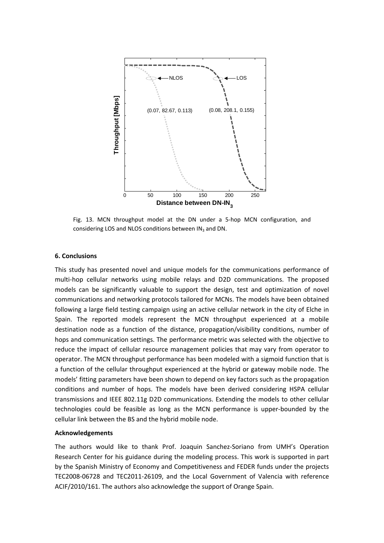

Fig. 13. MCN throughput model at the DN under a 5-hop MCN configuration, and considering LOS and NLOS conditions between IN<sub>3</sub> and DN.

#### **6. Conclusions**

This study has presented novel and unique models for the communications performance of multi‐hop cellular networks using mobile relays and D2D communications. The proposed models can be significantly valuable to support the design, test and optimization of novel communications and networking protocols tailored for MCNs. The models have been obtained following a large field testing campaign using an active cellular network in the city of Elche in Spain. The reported models represent the MCN throughput experienced at a mobile destination node as a function of the distance, propagation/visibility conditions, number of hops and communication settings. The performance metric was selected with the objective to reduce the impact of cellular resource management policies that may vary from operator to operator. The MCN throughput performance has been modeled with a sigmoid function that is a function of the cellular throughput experienced at the hybrid or gateway mobile node. The models' fitting parameters have been shown to depend on key factors such as the propagation conditions and number of hops. The models have been derived considering HSPA cellular transmissions and IEEE 802.11g D2D communications. Extending the models to other cellular technologies could be feasible as long as the MCN performance is upper‐bounded by the cellular link between the BS and the hybrid mobile node.

#### **Acknowledgements**

The authors would like to thank Prof. Joaquin Sanchez-Soriano from UMH's Operation Research Center for his guidance during the modeling process. This work is supported in part by the Spanish Ministry of Economy and Competitiveness and FEDER funds under the projects TEC2008‐06728 and TEC2011‐26109, and the Local Government of Valencia with reference ACIF/2010/161. The authors also acknowledge the support of Orange Spain.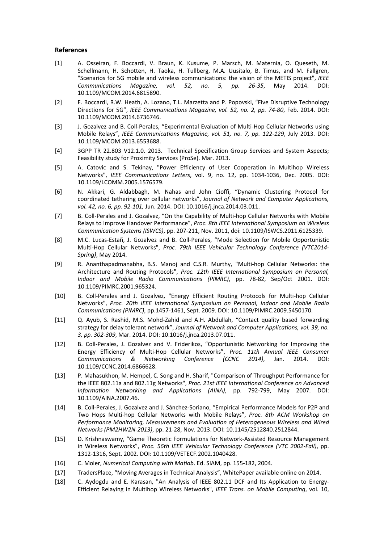#### **References**

- [1] A. Osseiran, F. Boccardi, V. Braun, K. Kusume, P. Marsch, M. Maternia, O. Queseth, M. Schellmann, H. Schotten, H. Taoka, H. Tullberg, M.A. Uusitalo, B. Timus, and M. Fallgren, "Scenarios for 5G mobile and wireless communications: the vision of the METIS project", *IEEE Communications Magazine, vol. 52, no. 5, pp. 26‐35*, May 2014. DOI: 10.1109/MCOM.2014.6815890.
- [2] F. Boccardi, R.W. Heath, A. Lozano, T.L. Marzetta and P. Popovski, "Five Disruptive Technology Directions for 5G", *IEEE Communications Magazine, vol. 52, no. 2, pp. 74‐80*, Feb. 2014. DOI: 10.1109/MCOM.2014.6736746.
- [3] J. Gozalvez and B. Coll‐Perales, "Experimental Evaluation of Multi‐Hop Cellular Networks using Mobile Relays", *IEEE Communications Magazine, vol. 51, no. 7, pp. 122‐129*, July 2013. DOI: 10.1109/MCOM.2013.6553688.
- [4] 3GPP TR 22.803 V12.1.0. 2013. Technical Specification Group Services and System Aspects; Feasibility study for Proximity Services (ProSe). Mar. 2013.
- [5] A. Catovic and S. Tekinay, "Power Efficiency of User Cooperation in Multihop Wireless Networks", *IEEE Communications Letters*, vol. 9, no. 12, pp. 1034‐1036, Dec. 2005. DOI: 10.1109/LCOMM.2005.1576579.
- [6] N. Akkari, G. Aldabbagh, M. Nahas and John Cioffi, "Dynamic Clustering Protocol for coordinated tethering over cellular networks", *Journal of Network and Computer Applications, vol. 42, no. 6, pp. 92‐101,* Jun. 2014. DOI: 10.1016/j.jnca.2014.03.011.
- [7] B. Coll-Perales and J. Gozalvez, "On the Capability of Multi-hop Cellular Networks with Mobile Relays to Improve Handover Performance", *Proc. 8th IEEE International Symposium on Wireless Communication Systems (ISWCS)*, pp. 207‐211, Nov. 2011, doi: 10.1109/ISWCS.2011.6125339.
- [8] M.C. Lucas‐Estañ, J. Gozalvez and B. Coll‐Perales, "Mode Selection for Mobile Opportunistic Multi‐Hop Cellular Networks", *Proc. 79th IEEE Vehicular Technology Conference (VTC2014‐ Spring)*, May 2014.
- [9] R. Ananthapadmanabha, B.S. Manoj and C.S.R. Murthy, "Multi‐hop Cellular Networks: the Architecture and Routing Protocols", *Proc. 12th IEEE International Symposium on Personal, Indoor and Mobile Radio Communications (PIMRC)*, pp. 78‐82, Sep/Oct 2001. DOI: 10.1109/PIMRC.2001.965324.
- [10] B. Coll-Perales and J. Gozalvez, "Energy Efficient Routing Protocols for Multi-hop Cellular Networks", *Proc. 20th IEEE International Symposium on Personal, Indoor and Mobile Radio Communications (PIMRC)*, pp.1457‐1461, Sept. 2009. DOI: 10.1109/PIMRC.2009.5450170.
- [11] Q. Ayub, S. Rashid, M.S. Mohd-Zahid and A.H. Abdullah, "Contact quality based forwarding strategy for delay tolerant network", *Journal of Network and Computer Applications, vol. 39, no. 3, pp. 302‐309*, Mar. 2014. DOI: 10.1016/j.jnca.2013.07.011.
- [12] B. Coll-Perales, J. Gozalvez and V. Friderikos, "Opportunistic Networking for Improving the Energy Efficiency of Multi‐Hop Cellular Networks", *Proc. 11th Annual IEEE Consumer Communications & Networking Conference (CCNC 2014)*, Jan. 2014. DOI: 10.1109/CCNC.2014.6866628.
- [13] P. Mahasukhon, M. Hempel, C. Song and H. Sharif, "Comparison of Throughput Performance for the IEEE 802.11a and 802.11g Networks", *Proc. 21st IEEE International Conference on Advanced Information Networking and Applications (AINA)*, pp. 792‐799, May 2007. DOI: 10.1109/AINA.2007.46.
- [14] B. Coll-Perales, J. Gozalvez and J. Sánchez-Soriano, "Empirical Performance Models for P2P and Two Hops Multi‐hop Cellular Networks with Mobile Relays", *Proc. 8th ACM Workshop on Performance Monitoring, Measurements and Evaluation of Heterogeneous Wireless and Wired Networks (PM2HW2N‐2013)*, pp. 21‐28, Nov. 2013. DOI: 10.1145/2512840.2512844.
- [15] D. Krishnaswamy, "Game Theoretic Formulations for Network‐Assisted Resource Management in Wireless Networks", *Proc. 56th IEEE Vehicular Technology Conference (VTC 2002‐Fall)*, pp. 1312‐1316, Sept. 2002. DOI: 10.1109/VETECF.2002.1040428.
- [16] C. Moler, *Numerical Computing with Matlab*. Ed. SIAM, pp. 155‐182, 2004.
- [17] TradersPlace, "Moving Averages in Technical Analysis", WhitePaper available online on 2014.
- [18] C. Aydogdu and E. Karasan, "An Analysis of IEEE 802.11 DCF and Its Application to Energy-Efficient Relaying in Multihop Wireless Networks", *IEEE Trans. on Mobile Computing*, vol. 10,